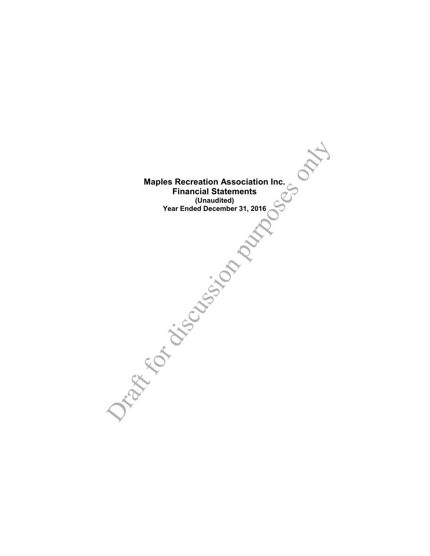**Maples Recreation Association Inc. Financial Statements (Unaudited) Year Ended December 31, 2016**

Maples Recreation Association Inc.<br>
Financial Statements<br>
Year Ended December 31, 2016<br>
Year of December 31, 2016<br>
Consulted<br>
The Consultance of the Consultance of the Consultance of the Consultance of the Consultance of t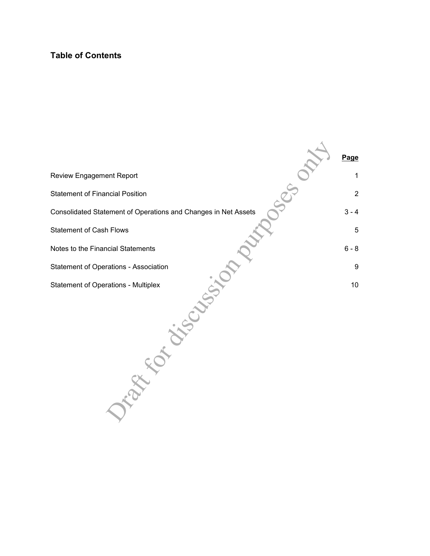## **Table of Contents**

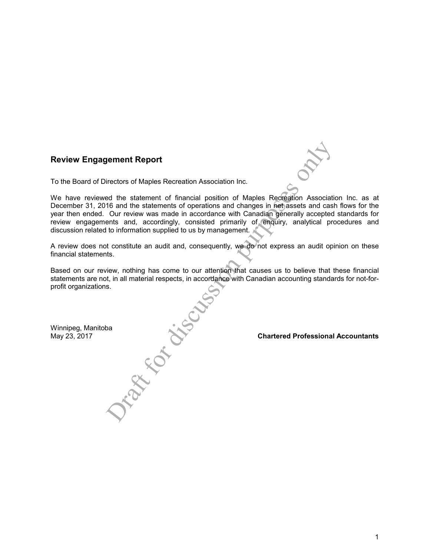## **Review Engagement Report**

To the Board of Directors of Maples Recreation Association Inc.

France of Maples Recreation Association Inc.<br>
France of Maples Recreation Association Inc.<br>
de due statement of forearions and changes in net assets and cast<br>
Our review was made in accordance with Canadian generally accep We have reviewed the statement of financial position of Maples Recreation Association Inc. as at December 31, 2016 and the statements of operations and changes in net assets and cash flows for the year then ended. Our review was made in accordance with Canadian generally accepted standards for review engagements and, accordingly, consisted primarily of enquiry, analytical procedures and discussion related to information supplied to us by management.

A review does not constitute an audit and, consequently, we do not express an audit opinion on these financial statements.

Based on our review, nothing has come to our attention that causes us to believe that these financial statements are not, in all material respects, in accordance with Canadian accounting standards for not-forprofit organizations.

Winnipeg, Manitoba<br>May 23, 2017

May 23, 2017 **Chartered Professional Accountants**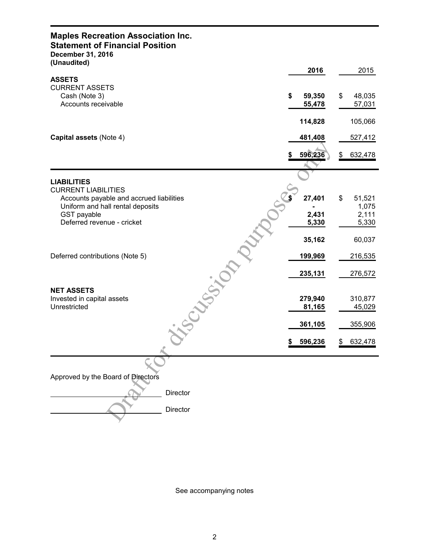| <b>Maples Recreation Association Inc.</b><br><b>Statement of Financial Position</b><br>December 31, 2016<br>(Unaudited) |                        |                        |
|-------------------------------------------------------------------------------------------------------------------------|------------------------|------------------------|
|                                                                                                                         | 2016                   | 2015                   |
| <b>ASSETS</b><br><b>CURRENT ASSETS</b><br>Cash (Note 3)<br>Accounts receivable                                          | \$<br>59,350<br>55,478 | \$<br>48,035<br>57,031 |
|                                                                                                                         | 114,828                | 105,066                |
| Capital assets (Note 4)                                                                                                 | 481,408                | 527,412                |
|                                                                                                                         | 596,236<br>S           | 632,478<br>\$          |
| <b>LIABILITIES</b>                                                                                                      |                        |                        |
| <b>CURRENT LIABILITIES</b><br>Accounts payable and accrued liabilities<br>Uniform and hall rental deposits              | 27,401                 | \$<br>51,521<br>1,075  |
| GST payable<br>Deferred revenue - cricket                                                                               | 2,431<br>5,330         | 2,111<br>5,330         |
|                                                                                                                         | 35,162                 | 60,037                 |
| Deferred contributions (Note 5)                                                                                         | 199,969                | 216,535                |
|                                                                                                                         | 235,131                | 276,572                |
| <b>SCASSION</b><br><b>NET ASSETS</b><br>Invested in capital assets<br>Unrestricted                                      | 279,940<br>81,165      | 310,877<br>45,029      |
|                                                                                                                         | 361,105                | 355,906                |
|                                                                                                                         | 596,236<br>\$          | <u>\$</u><br>632,478   |
|                                                                                                                         |                        |                        |
| Approved by the Board of Directors                                                                                      |                        |                        |
| Director                                                                                                                |                        |                        |
| Director                                                                                                                |                        |                        |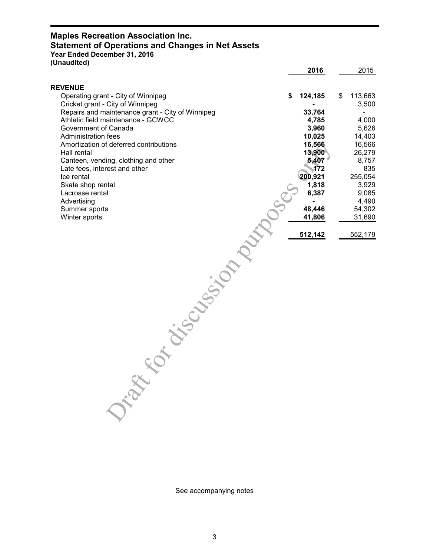# **Maples Recreation Association Inc. Statement of Operations and Changes in Net Assets**

**Year Ended December 31, 2016**

| (Unaudited)                                                          |                  |                  |
|----------------------------------------------------------------------|------------------|------------------|
|                                                                      | 2016             | 2015             |
| <b>REVENUE</b>                                                       |                  |                  |
| Operating grant - City of Winnipeg                                   | \$<br>124,185    | \$<br>113,663    |
| Cricket grant - City of Winnipeg                                     |                  | 3,500            |
| Repairs and maintenance grant - City of Winnipeg                     | 33,764           |                  |
| Athletic field maintenance - GCWCC                                   | 4,785            | 4,000            |
| Government of Canada                                                 | 3,960            | 5,626            |
| <b>Administration fees</b><br>Amortization of deferred contributions | 10,025<br>16,566 | 14,403<br>16,566 |
| Hall rental                                                          | 13,900           | 26,279           |
| Canteen, vending, clothing and other                                 | 5,407            | 8,757            |
| Late fees, interest and other                                        | 172              | 835              |
| Ice rental                                                           | 200,921          | 255,054          |
| Skate shop rental                                                    | 1,818            | 3,929            |
| Lacrosse rental                                                      | 6,387            | 9,085            |
| Advertising                                                          |                  | 4,490            |
| Summer sports                                                        | 48,446           | 54,302           |
| Winter sports                                                        | 41,806           | 31,690           |
|                                                                      |                  |                  |
|                                                                      | 512,142          | 552,179          |
|                                                                      |                  |                  |
|                                                                      |                  |                  |
|                                                                      |                  |                  |
|                                                                      |                  |                  |
|                                                                      |                  |                  |
|                                                                      |                  |                  |
|                                                                      |                  |                  |
|                                                                      |                  |                  |
|                                                                      |                  |                  |
|                                                                      |                  |                  |
|                                                                      |                  |                  |
|                                                                      |                  |                  |
|                                                                      |                  |                  |
|                                                                      |                  |                  |
| Tape of Chicago ison                                                 |                  |                  |
|                                                                      |                  |                  |
|                                                                      |                  |                  |
|                                                                      |                  |                  |
|                                                                      |                  |                  |
|                                                                      |                  |                  |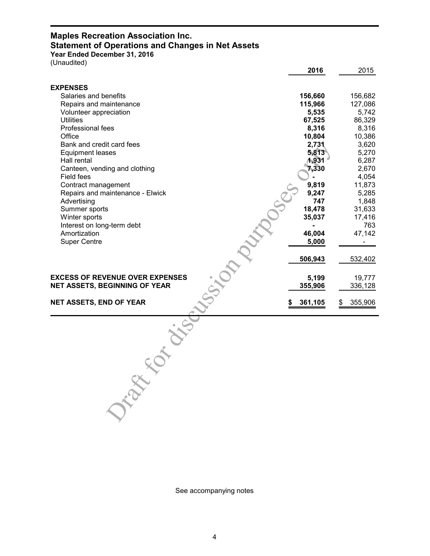# **Maples Recreation Association Inc. Statement of Operations and Changes in Net Assets**

**Year Ended December 31, 2016** (Unaudited)

|                                        | 2016    | 2015          |
|----------------------------------------|---------|---------------|
| <b>EXPENSES</b>                        |         |               |
| Salaries and benefits                  | 156,660 | 156,682       |
| Repairs and maintenance                | 115,966 | 127,086       |
| Volunteer appreciation                 | 5,535   | 5,742         |
| <b>Utilities</b>                       | 67,525  | 86,329        |
| Professional fees                      | 8,316   | 8,316         |
| Office                                 | 10,804  | 10,386        |
| Bank and credit card fees              | 2,731   | 3,620         |
| <b>Equipment leases</b>                | 5,813   | 5,270         |
| Hall rental                            | 1,931   | 6,287         |
| Canteen, vending and clothing          | 7,330   | 2,670         |
| Field fees                             |         | 4,054         |
| Contract management                    | 9,819   | 11,873        |
| Repairs and maintenance - Elwick       | 9,247   | 5,285         |
| Advertising                            | 747     | 1,848         |
| Summer sports                          | 18,478  | 31,633        |
| Winter sports                          | 35,037  | 17,416        |
| Interest on long-term debt             |         | 763           |
| Amortization                           | 46,004  | 47,142        |
| <b>Super Centre</b>                    | 5,000   |               |
|                                        |         |               |
|                                        | 506,943 | 532,402       |
|                                        |         |               |
| <b>EXCESS OF REVENUE OVER EXPENSES</b> | 5,199   | 19,777        |
| <b>NET ASSETS, BEGINNING OF YEAR</b>   | 355,906 | 336,128       |
|                                        |         |               |
| <b>NET ASSETS, END OF YEAR</b>         | 361,105 | 355,906<br>\$ |
| $\sim$                                 |         |               |
|                                        |         |               |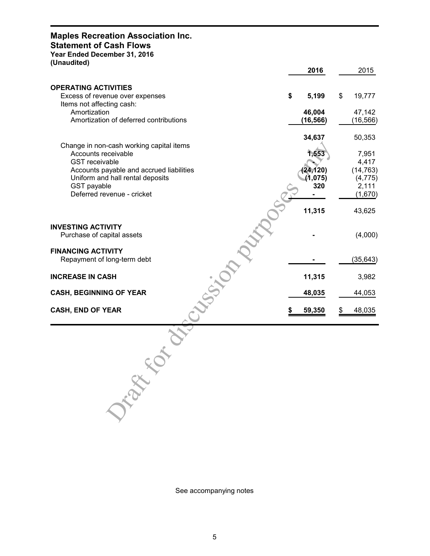## **Maples Recreation Association Inc.**

## **Statement of Cash Flows**

**Year Ended December 31, 2016**

**(Unaudited)**

| 2016      |                                            | 2015           |
|-----------|--------------------------------------------|----------------|
|           |                                            |                |
| 5,199     | \$                                         | 19,777         |
| 46,004    |                                            | 47,142         |
| (16, 566) |                                            | (16, 566)      |
| 34,637    |                                            | 50,353         |
|           |                                            |                |
|           |                                            | 7,951<br>4,417 |
|           |                                            | (14, 763)      |
|           |                                            | (4, 775)       |
|           |                                            | 2,111          |
|           |                                            | (1,670)        |
| 11,315    |                                            | 43,625         |
|           |                                            | (4,000)        |
|           |                                            | (35, 643)      |
| 11,315    |                                            | 3,982          |
| 48,035    |                                            | 44,053         |
| 59,350    |                                            | 48,035         |
|           |                                            |                |
|           | \$<br>1,553<br>(24, 120)<br>(1,075)<br>320 |                |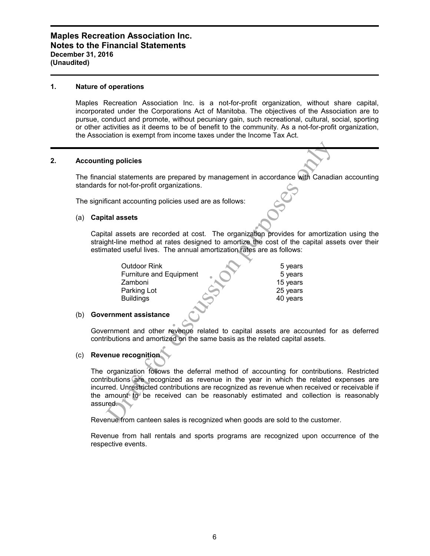#### **1. Nature of operations**

Maples Recreation Association Inc. is a not-for-profit organization, without share capital, incorporated under the Corporations Act of Manitoba. The objectives of the Association are to pursue, conduct and promote, without pecuniary gain, such recreational, cultural, social, sporting or other activities as it deems to be of benefit to the community. As a not-for-profit organization, the Association is exempt from income taxes under the Income Tax Act.

#### **2. Accounting policies**

The financial statements are prepared by management in accordance with Canadian accounting standards for not-for-profit organizations.

The significant accounting policies used are as follows:

#### (a) **Capital assets**

Capital assets are recorded at cost. The organization provides for amortization using the straight-line method at rates designed to amortize the cost of the capital assets over their estimated useful lives. The annual amortization rates are as follows:

| ng policies                                                                                                                                                                                                                                                                                                |
|------------------------------------------------------------------------------------------------------------------------------------------------------------------------------------------------------------------------------------------------------------------------------------------------------------|
| cial statements are prepared by management in accordance with Canadia<br>for not-for-profit organizations.                                                                                                                                                                                                 |
| icant accounting policies used are as follows:                                                                                                                                                                                                                                                             |
| tal assets                                                                                                                                                                                                                                                                                                 |
| tal assets are recorded at cost. The organization provides for amortizat<br>ght-line method at rates designed to amortize the cost of the capital ass<br>nated useful lives. The annual amortization rates are as follows:                                                                                 |
| <b>Outdoor Rink</b><br>5 years<br><b>Furniture and Equipment</b><br>5 years<br>Zamboni<br>15 years<br>Parking Lot<br>25 years<br>40 years<br><b>Buildings</b>                                                                                                                                              |
| ernment assistance                                                                                                                                                                                                                                                                                         |
| ernment and other revenue related to capital assets are accounted for<br>ibutions and amortized on the same basis as the related capital assets.                                                                                                                                                           |
| enue recognition                                                                                                                                                                                                                                                                                           |
| organization follows the deferral method of accounting for contribution<br>ibutions are recognized as revenue in the year in which the related of<br>red. Unrestricted contributions are recognized as revenue when received o<br>amount to be received can be reasonably estimated and collection<br>red. |
| enue from canteen sales is recognized when goods are sold to the custome                                                                                                                                                                                                                                   |

#### (b) **Government assistance**

Government and other revenue related to capital assets are accounted for as deferred contributions and amortized on the same basis as the related capital assets.

#### (c) **Revenue recognition**

The organization follows the deferral method of accounting for contributions. Restricted contributions are recognized as revenue in the year in which the related expenses are incurred. Unrestricted contributions are recognized as revenue when received or receivable if the amount to be received can be reasonably estimated and collection is reasonably assured.

Revenue from canteen sales is recognized when goods are sold to the customer.

Revenue from hall rentals and sports programs are recognized upon occurrence of the respective events.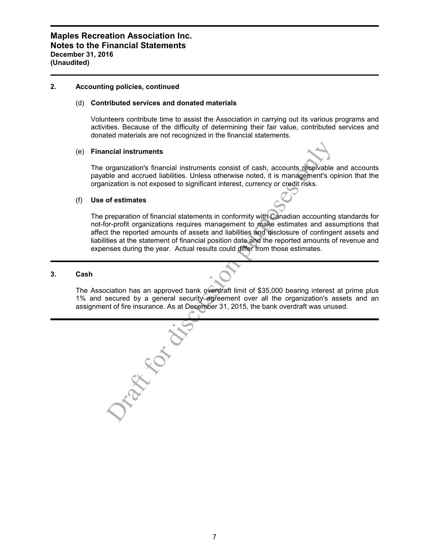#### **2. Accounting policies, continued**

#### (d) **Contributed services and donated materials**

Volunteers contribute time to assist the Association in carrying out its various programs and activities. Because of the difficulty of determining their fair value, contributed services and donated materials are not recognized in the financial statements.

#### (e) **Financial instruments**

The organization's financial instruments consist of cash, accounts receivable and accounts payable and accrued liabilities. Unless otherwise noted, it is management's opinion that the organization is not exposed to significant interest, currency or credit risks.

#### (f) **Use of estimates**

The preparation of financial statements in conformity with Canadian accounting standards for not-for-profit organizations requires management to make estimates and assumptions that affect the reported amounts of assets and liabilities and disclosure of contingent assets and liabilities at the statement of financial position date and the reported amounts of revenue and expenses during the year. Actual results could differ from those estimates.

## **3. Cash**

The Association has an approved bank overdraft limit of \$35,000 bearing interest at prime plus 1% and secured by a general security agreement over all the organization's assets and an assignment of fire insurance. As at December 31, 2015, the bank overdraft was unused.

Tapped for discussion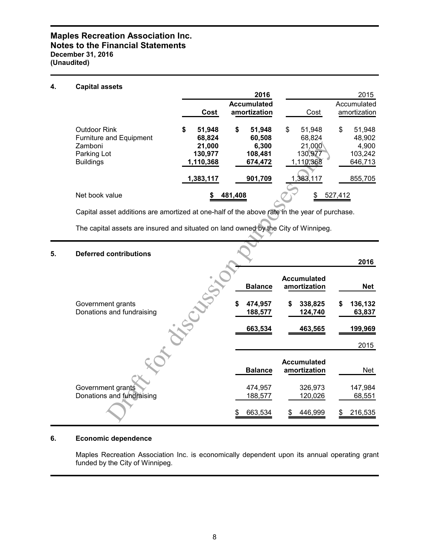## **Maples Recreation Association Inc. Notes to the Financial Statements December 31, 2016 (Unaudited)**

#### **4. Capital assets**

|                                                                                              |                                                          | 2016                                                  |                                                          | 2015                                                  |
|----------------------------------------------------------------------------------------------|----------------------------------------------------------|-------------------------------------------------------|----------------------------------------------------------|-------------------------------------------------------|
|                                                                                              | Cost                                                     | <b>Accumulated</b><br>amortization                    | Cost                                                     | Accumulated<br>amortization                           |
| Outdoor Rink<br><b>Furniture and Equipment</b><br>Zamboni<br>Parking Lot<br><b>Buildings</b> | \$<br>51,948<br>68,824<br>21,000<br>130,977<br>1,110,368 | \$<br>51,948<br>60,508<br>6.300<br>108,481<br>674,472 | \$<br>51.948<br>68,824<br>21,000<br>130,977<br>1,110,368 | \$<br>51,948<br>48,902<br>4,900<br>103,242<br>646,713 |
|                                                                                              | 1,383,117                                                | 901,709                                               | 1,383,117                                                | 855,705                                               |
| Net book value                                                                               |                                                          | 481,408                                               |                                                          | 527,412                                               |

# **5. Deferred contributions**

| Zamboni<br>Parking Lot<br><b>Buildings</b>                                                   | 21,000<br>130,977<br>1,110,368 | 6,300<br>108,481<br>674,472     | 21,000<br>130,977<br>1,110,368                      | 4,900<br>103,242<br>646,713 |
|----------------------------------------------------------------------------------------------|--------------------------------|---------------------------------|-----------------------------------------------------|-----------------------------|
|                                                                                              | 1,383,117                      | 901,709                         | 1,383,117                                           | 855,705                     |
| Net book value                                                                               | \$                             | 481,408                         | \$                                                  | 527,412                     |
| Capital asset additions are amortized at one-half of the above rate in the year of purchase. |                                |                                 |                                                     |                             |
| The capital assets are insured and situated on land owned by the City of Winnipeg.           |                                |                                 |                                                     |                             |
| <b>Deferred contributions</b>                                                                |                                |                                 |                                                     | 2016                        |
| Government grants                                                                            |                                | <b>Balance</b><br>\$<br>474,957 | <b>Accumulated</b><br>amortization<br>338,825<br>\$ | <b>Net</b><br>136,132<br>S  |
| Donations and fundraising                                                                    |                                | 188,577<br>663,534              | 124,740<br>463,565                                  | 63,837<br>199,969<br>2015   |
|                                                                                              |                                | <b>Balance</b>                  | <b>Accumulated</b><br>amortization                  | Net                         |
| Government grants<br>Donations and fundraising                                               |                                | 474,957<br>188,577              | 326,973<br>120,026                                  | 147,984<br>68,551           |
|                                                                                              |                                | 663,534<br>\$                   | 446,999                                             | 216,535                     |

## **6. Economic dependence**

Maples Recreation Association Inc. is economically dependent upon its annual operating grant funded by the City of Winnipeg.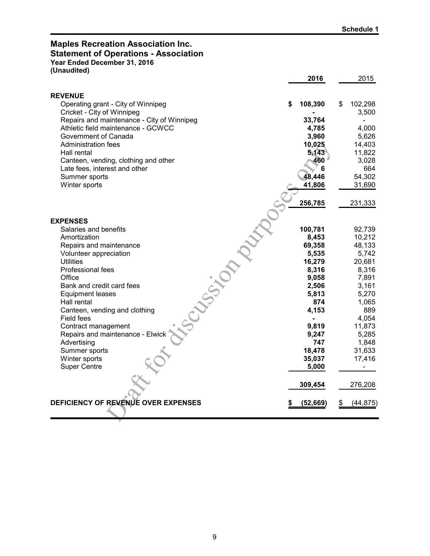## **Maples Recreation Association Inc. Statement of Operations - Association Year Ended December 31, 2016**

**(Unaudited)**

|                                            | 2016           | 2015          |
|--------------------------------------------|----------------|---------------|
| <b>REVENUE</b>                             |                |               |
| Operating grant - City of Winnipeg         | 108,390<br>S   | \$<br>102,298 |
| Cricket - City of Winnipeg                 |                | 3,500         |
| Repairs and maintenance - City of Winnipeg | 33,764         |               |
| Athletic field maintenance - GCWCC         | 4,785          | 4,000         |
| Government of Canada                       | 3,960          | 5,626         |
| Administration fees                        | 10,025         | 14,403        |
| Hall rental                                | 5,143          | 11,822        |
| Canteen, vending, clothing and other       | 460            | 3,028         |
| Late fees, interest and other              | 6              | 664           |
| Summer sports                              | 48,446         | 54,302        |
| Winter sports                              | 41,806         | 31,690        |
|                                            |                |               |
|                                            | 256,785        | 231,333       |
|                                            |                |               |
| <b>EXPENSES</b>                            |                |               |
| Salaries and benefits                      | 100,781        | 92,739        |
| Amortization                               | 8,453          | 10,212        |
| Repairs and maintenance                    | 69,358         | 48,133        |
| Volunteer appreciation                     | 5,535          | 5,742         |
| <b>Utilities</b>                           | 16,279         | 20,681        |
| Professional fees                          | 8,316          | 8,316         |
| Office                                     | 9,058          | 7,891         |
| Bank and credit card fees                  | 2,506          | 3,161         |
| <b>Equipment leases</b>                    | 5,813          | 5,270         |
| Hall rental                                | 874            | 1,065         |
| Canteen, vending and clothing              | 4,153          | 889           |
| Field fees                                 | $\blacksquare$ | 4,054         |
| Contract management                        | 9,819          | 11,873        |
| Repairs and maintenance - Elwick           | 9,247          | 5,285         |
| Advertising                                | 747            | 1,848         |
| Summer sports                              | 18,478         | 31,633        |
| Winter sports                              | 35,037         | 17,416        |
| <b>Super Centre</b>                        | 5,000          |               |
|                                            |                |               |
|                                            | 309,454        | 276,208       |
| DEFICIENCY OF REVENUE OVER EXPENSES        | (52, 669)      | (44, 875)     |
|                                            |                |               |
|                                            |                |               |